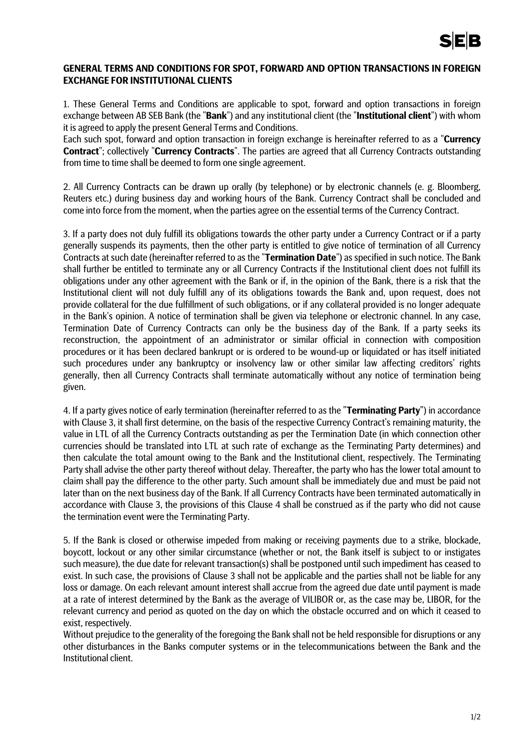## **GENERAL TERMS AND CONDITIONS FOR SPOT, FORWARD AND OPTION TRANSACTIONS IN FOREIGN EXCHANGE FOR INSTITUTIONAL CLIENTS**

1. These General Terms and Conditions are applicable to spot, forward and option transactions in foreign exchange between AB SEB Bank (the "**Bank**") and any institutional client (the "**Institutional client**") with whom it is agreed to apply the present General Terms and Conditions.

Each such spot, forward and option transaction in foreign exchange is hereinafter referred to as a "**Currency Contract**"; collectively "**Currency Contracts**". The parties are agreed that all Currency Contracts outstanding from time to time shall be deemed to form one single agreement.

2. All Currency Contracts can be drawn up orally (by telephone) or by electronic channels (e. g. Bloomberg, Reuters etc.) during business day and working hours of the Bank. Currency Contract shall be concluded and come into force from the moment, when the parties agree on the essential terms of the Currency Contract.

3. If a party does not duly fulfill its obligations towards the other party under a Currency Contract or if a party generally suspends its payments, then the other party is entitled to give notice of termination of all Currency Contracts at such date (hereinafter referred to as the "**Termination Date**") as specified in such notice. The Bank shall further be entitled to terminate any or all Currency Contracts if the Institutional client does not fulfill its obligations under any other agreement with the Bank or if, in the opinion of the Bank, there is a risk that the Institutional client will not duly fulfill any of its obligations towards the Bank and, upon request, does not provide collateral for the due fulfillment of such obligations, or if any collateral provided is no longer adequate in the Bank's opinion. A notice of termination shall be given via telephone or electronic channel. In any case, Termination Date of Currency Contracts can only be the business day of the Bank. If a party seeks its reconstruction, the appointment of an administrator or similar official in connection with composition procedures or it has been declared bankrupt or is ordered to be wound-up or liquidated or has itself initiated such procedures under any bankruptcy or insolvency law or other similar law affecting creditors' rights generally, then all Currency Contracts shall terminate automatically without any notice of termination being given.

4. If a party gives notice of early termination (hereinafter referred to as the "**Terminating Party**") in accordance with Clause 3, it shall first determine, on the basis of the respective Currency Contract's remaining maturity, the value in LTL of all the Currency Contracts outstanding as per the Termination Date (in which connection other currencies should be translated into LTL at such rate of exchange as the Terminating Party determines) and then calculate the total amount owing to the Bank and the Institutional client, respectively. The Terminating Party shall advise the other party thereof without delay. Thereafter, the party who has the lower total amount to claim shall pay the difference to the other party. Such amount shall be immediately due and must be paid not later than on the next business day of the Bank. If all Currency Contracts have been terminated automatically in accordance with Clause 3, the provisions of this Clause 4 shall be construed as if the party who did not cause the termination event were the Terminating Party.

5. If the Bank is closed or otherwise impeded from making or receiving payments due to a strike, blockade, boycott, lockout or any other similar circumstance (whether or not, the Bank itself is subject to or instigates such measure), the due date for relevant transaction(s) shall be postponed until such impediment has ceased to exist. In such case, the provisions of Clause 3 shall not be applicable and the parties shall not be liable for any loss or damage. On each relevant amount interest shall accrue from the agreed due date until payment is made at a rate of interest determined by the Bank as the average of VILIBOR or, as the case may be, LIBOR, for the relevant currency and period as quoted on the day on which the obstacle occurred and on which it ceased to exist, respectively.

Without prejudice to the generality of the foregoing the Bank shall not be held responsible for disruptions or any other disturbances in the Banks computer systems or in the telecommunications between the Bank and the Institutional client.